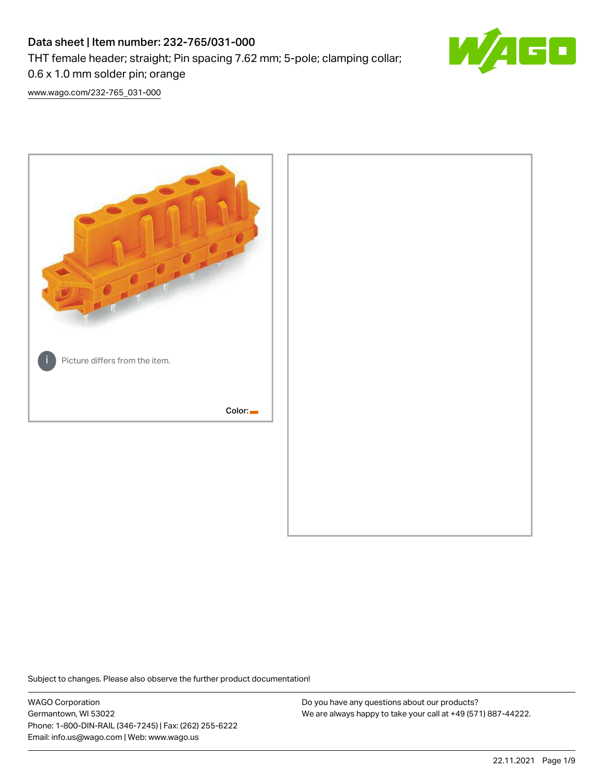# Data sheet | Item number: 232-765/031-000 THT female header; straight; Pin spacing 7.62 mm; 5-pole; clamping collar;



[www.wago.com/232-765\\_031-000](http://www.wago.com/232-765_031-000)

0.6 x 1.0 mm solder pin; orange



Subject to changes. Please also observe the further product documentation!

WAGO Corporation Germantown, WI 53022 Phone: 1-800-DIN-RAIL (346-7245) | Fax: (262) 255-6222 Email: info.us@wago.com | Web: www.wago.us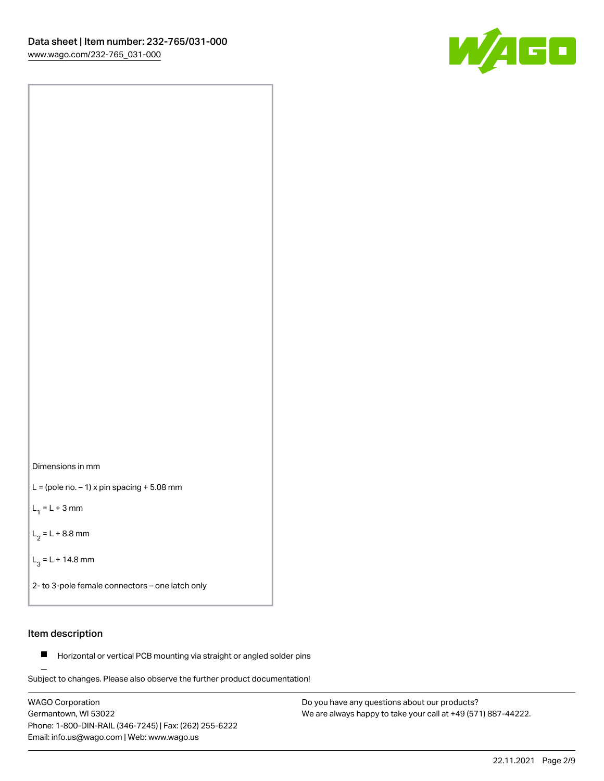



 $L =$  (pole no.  $-1$ ) x pin spacing  $+5.08$  mm

 $L_1 = L + 3$  mm

 $L_2 = L + 8.8$  mm

 $L_3 = L + 14.8$  mm

2- to 3-pole female connectors – one latch only

## Item description

**Horizontal or vertical PCB mounting via straight or angled solder pins** 

Subject to changes. Please also observe the further product documentation! For board-to-board and board-to-wire connections

WAGO Corporation Germantown, WI 53022 Phone: 1-800-DIN-RAIL (346-7245) | Fax: (262) 255-6222 Email: info.us@wago.com | Web: www.wago.us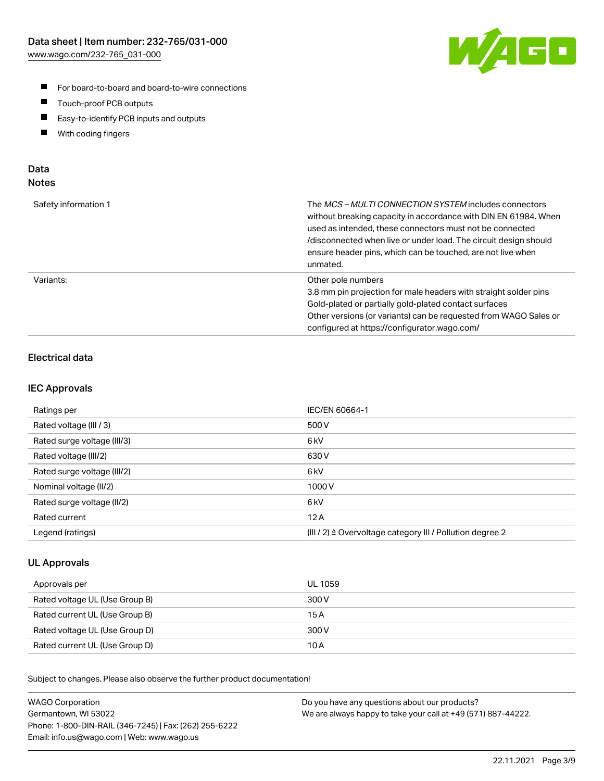

- For board-to-board and board-to-wire connections
- $\blacksquare$ Touch-proof PCB outputs
- $\blacksquare$ Easy-to-identify PCB inputs and outputs
- $\blacksquare$ With coding fingers

## Data **Notes**

| Safety information 1 | The <i>MCS – MULTI CONNECTION SYSTEM</i> includes connectors<br>without breaking capacity in accordance with DIN EN 61984. When<br>used as intended, these connectors must not be connected<br>/disconnected when live or under load. The circuit design should<br>ensure header pins, which can be touched, are not live when<br>unmated. |
|----------------------|--------------------------------------------------------------------------------------------------------------------------------------------------------------------------------------------------------------------------------------------------------------------------------------------------------------------------------------------|
| Variants:            | Other pole numbers<br>3.8 mm pin projection for male headers with straight solder pins<br>Gold-plated or partially gold-plated contact surfaces<br>Other versions (or variants) can be requested from WAGO Sales or<br>configured at https://configurator.wago.com/                                                                        |

# Electrical data

## IEC Approvals

| Ratings per                 | IEC/EN 60664-1                                                        |
|-----------------------------|-----------------------------------------------------------------------|
| Rated voltage (III / 3)     | 500 V                                                                 |
| Rated surge voltage (III/3) | 6 <sub>kV</sub>                                                       |
| Rated voltage (III/2)       | 630 V                                                                 |
| Rated surge voltage (III/2) | 6 <sub>kV</sub>                                                       |
| Nominal voltage (II/2)      | 1000 V                                                                |
| Rated surge voltage (II/2)  | 6 <sub>kV</sub>                                                       |
| Rated current               | 12A                                                                   |
| Legend (ratings)            | $(III / 2)$ $\triangle$ Overvoltage category III / Pollution degree 2 |

## UL Approvals

| Approvals per                  | UL 1059 |
|--------------------------------|---------|
| Rated voltage UL (Use Group B) | 300 V   |
| Rated current UL (Use Group B) | 15 A    |
| Rated voltage UL (Use Group D) | 300 V   |
| Rated current UL (Use Group D) | 10 A    |

| <b>WAGO Corporation</b>                                | Do you have any questions about our products?                 |
|--------------------------------------------------------|---------------------------------------------------------------|
| Germantown, WI 53022                                   | We are always happy to take your call at +49 (571) 887-44222. |
| Phone: 1-800-DIN-RAIL (346-7245)   Fax: (262) 255-6222 |                                                               |
| Email: info.us@wago.com   Web: www.wago.us             |                                                               |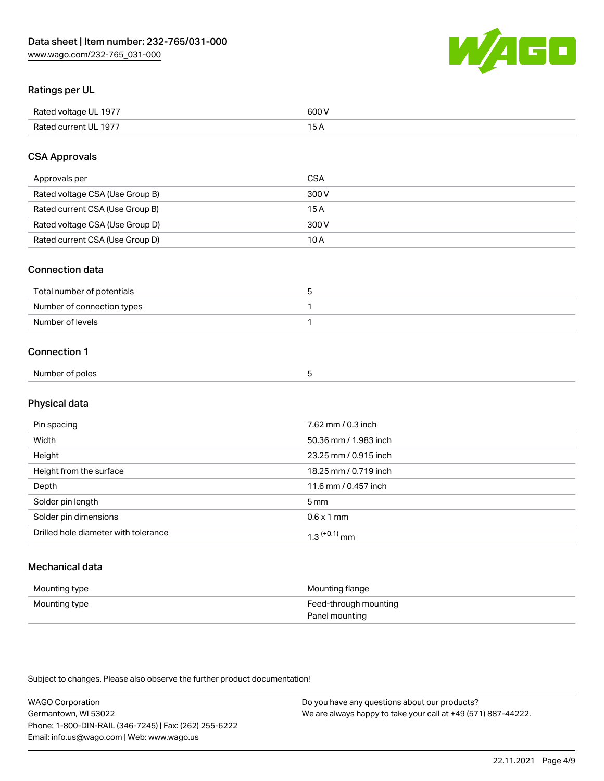

## Ratings per UL

| Rated voltage UL 1977 | soo v<br>วบบ<br>. |
|-----------------------|-------------------|
| Rated current UL 1977 | --                |
|                       | . J <i>r</i>      |

## CSA Approvals

| Approvals per                   | CSA   |
|---------------------------------|-------|
| Rated voltage CSA (Use Group B) | 300 V |
| Rated current CSA (Use Group B) | 15 A  |
| Rated voltage CSA (Use Group D) | 300 V |
| Rated current CSA (Use Group D) | 10 A  |

#### Connection data

| Total number of potentials |  |
|----------------------------|--|
| Number of connection types |  |
| Number of levels           |  |

#### Connection 1

| Number of poles |  |
|-----------------|--|
|                 |  |

# Physical data

| Pin spacing                          | 7.62 mm / 0.3 inch    |
|--------------------------------------|-----------------------|
| Width                                | 50.36 mm / 1.983 inch |
| Height                               | 23.25 mm / 0.915 inch |
| Height from the surface              | 18.25 mm / 0.719 inch |
| Depth                                | 11.6 mm / 0.457 inch  |
| Solder pin length                    | 5 <sub>mm</sub>       |
| Solder pin dimensions                | $0.6 \times 1$ mm     |
| Drilled hole diameter with tolerance | $1.3$ $(+0.1)$ mm     |

# Mechanical data

| Mounting type | Mounting flange                         |
|---------------|-----------------------------------------|
| Mounting type | Feed-through mounting<br>Panel mounting |

| <b>WAGO Corporation</b>                                | Do you have any questions about our products?                 |
|--------------------------------------------------------|---------------------------------------------------------------|
| Germantown, WI 53022                                   | We are always happy to take your call at +49 (571) 887-44222. |
| Phone: 1-800-DIN-RAIL (346-7245)   Fax: (262) 255-6222 |                                                               |
| Email: info.us@wago.com   Web: www.wago.us             |                                                               |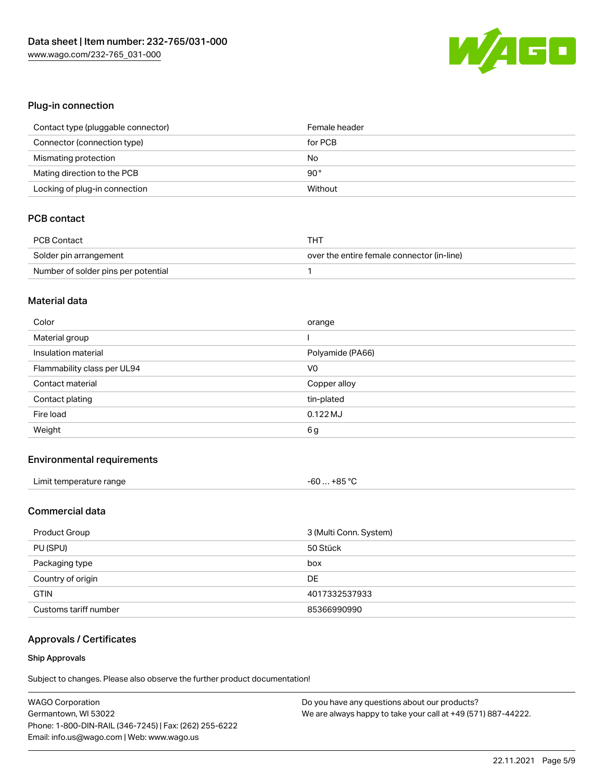

## Plug-in connection

| Contact type (pluggable connector) | Female header |
|------------------------------------|---------------|
| Connector (connection type)        | for PCB       |
| Mismating protection               | No            |
| Mating direction to the PCB        | $90^{\circ}$  |
| Locking of plug-in connection      | Without       |

# PCB contact

| PCB Contact                         | тнт                                        |
|-------------------------------------|--------------------------------------------|
| Solder pin arrangement              | over the entire female connector (in-line) |
| Number of solder pins per potential |                                            |

#### Material data

| Color                       | orange           |
|-----------------------------|------------------|
| Material group              |                  |
| Insulation material         | Polyamide (PA66) |
| Flammability class per UL94 | V <sub>0</sub>   |
| Contact material            | Copper alloy     |
|                             |                  |
| Contact plating             | tin-plated       |
| Fire load                   | $0.122$ MJ       |

#### Environmental requirements

| Limit temperature range | $-60+85 °C$ |
|-------------------------|-------------|
|-------------------------|-------------|

## Commercial data

| Product Group         | 3 (Multi Conn. System) |
|-----------------------|------------------------|
| PU (SPU)              | 50 Stück               |
| Packaging type        | box                    |
| Country of origin     | DE                     |
| <b>GTIN</b>           | 4017332537933          |
| Customs tariff number | 85366990990            |

# Approvals / Certificates

#### Ship Approvals

| <b>WAGO Corporation</b>                                | Do you have any questions about our products?                 |
|--------------------------------------------------------|---------------------------------------------------------------|
| Germantown, WI 53022                                   | We are always happy to take your call at +49 (571) 887-44222. |
| Phone: 1-800-DIN-RAIL (346-7245)   Fax: (262) 255-6222 |                                                               |
| Email: info.us@wago.com   Web: www.wago.us             |                                                               |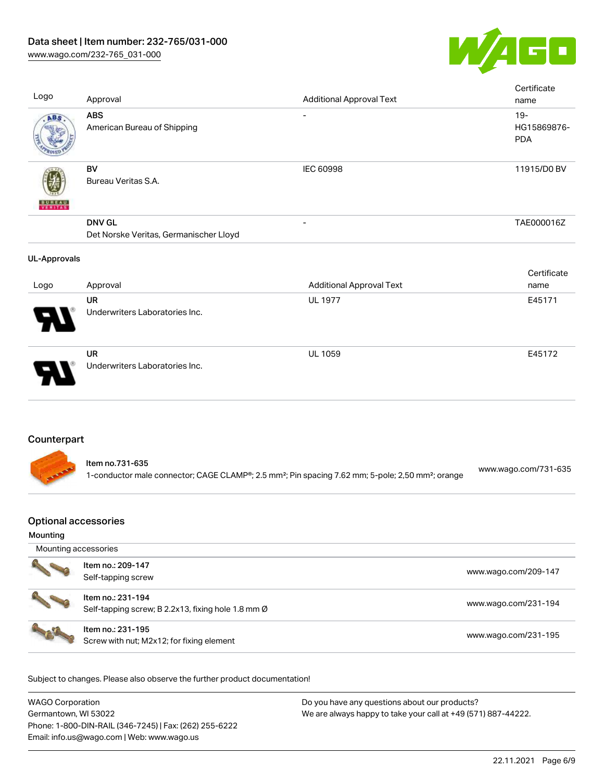

| Logo                                    | Approval                                                                                                                                     | <b>Additional Approval Text</b> | Certificate<br>name                 |
|-----------------------------------------|----------------------------------------------------------------------------------------------------------------------------------------------|---------------------------------|-------------------------------------|
| ABS                                     | <b>ABS</b><br>American Bureau of Shipping                                                                                                    |                                 | $19 -$<br>HG15869876-<br><b>PDA</b> |
| <b>VERITAS</b>                          | <b>BV</b><br>Bureau Veritas S.A.                                                                                                             | <b>IEC 60998</b>                | 11915/D0 BV                         |
|                                         | <b>DNV GL</b><br>Det Norske Veritas, Germanischer Lloyd                                                                                      |                                 | TAE000016Z                          |
| <b>UL-Approvals</b>                     |                                                                                                                                              |                                 |                                     |
| Logo                                    | Approval                                                                                                                                     | <b>Additional Approval Text</b> | Certificate<br>name                 |
|                                         | <b>UR</b><br>Underwriters Laboratories Inc.                                                                                                  | <b>UL 1977</b>                  | E45171                              |
|                                         | <b>UR</b><br>Underwriters Laboratories Inc.                                                                                                  | <b>UL 1059</b>                  | E45172                              |
| Counterpart                             |                                                                                                                                              |                                 |                                     |
|                                         | Item no.731-635<br>1-conductor male connector; CAGE CLAMP®; 2.5 mm <sup>2</sup> ; Pin spacing 7.62 mm; 5-pole; 2,50 mm <sup>2</sup> ; orange |                                 | www.wago.com/731-635                |
| <b>Optional accessories</b><br>Mounting |                                                                                                                                              |                                 |                                     |

| Mounting accessories |                                                                         |                      |
|----------------------|-------------------------------------------------------------------------|----------------------|
|                      | Item no.: 209-147<br>Self-tapping screw                                 | www.wago.com/209-147 |
|                      | Item no.: 231-194<br>Self-tapping screw; B 2.2x13, fixing hole 1.8 mm Ø | www.wago.com/231-194 |
|                      | Item no.: 231-195<br>Screw with nut; M2x12; for fixing element          | www.wago.com/231-195 |

| <b>WAGO Corporation</b>                                | Do you have any questions about our products?                 |
|--------------------------------------------------------|---------------------------------------------------------------|
| Germantown, WI 53022                                   | We are always happy to take your call at +49 (571) 887-44222. |
| Phone: 1-800-DIN-RAIL (346-7245)   Fax: (262) 255-6222 |                                                               |
| Email: info.us@wago.com   Web: www.wago.us             |                                                               |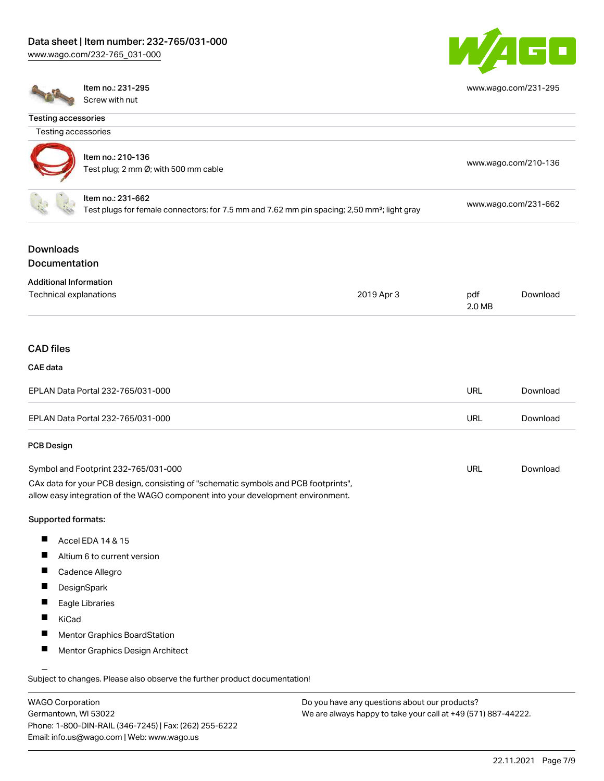[www.wago.com/232-765\\_031-000](http://www.wago.com/232-765_031-000)



[www.wago.com/231-295](http://www.wago.com/231-295)

Testing accessories

Item no.: 231-295 Screw with nut

Email: info.us@wago.com | Web: www.wago.us

| Testing accessories                                     |                                                                                                                                                                        |                                                               |               |                      |
|---------------------------------------------------------|------------------------------------------------------------------------------------------------------------------------------------------------------------------------|---------------------------------------------------------------|---------------|----------------------|
|                                                         | Item no.: 210-136<br>Test plug; 2 mm Ø; with 500 mm cable                                                                                                              |                                                               |               | www.wago.com/210-136 |
|                                                         | Item no.: 231-662<br>Test plugs for female connectors; for 7.5 mm and 7.62 mm pin spacing; 2,50 mm <sup>2</sup> ; light gray                                           |                                                               |               | www.wago.com/231-662 |
|                                                         |                                                                                                                                                                        |                                                               |               |                      |
| <b>Downloads</b>                                        |                                                                                                                                                                        |                                                               |               |                      |
| <b>Documentation</b>                                    |                                                                                                                                                                        |                                                               |               |                      |
| <b>Additional Information</b><br>Technical explanations |                                                                                                                                                                        | 2019 Apr 3                                                    | pdf<br>2.0 MB | Download             |
| <b>CAD files</b>                                        |                                                                                                                                                                        |                                                               |               |                      |
|                                                         |                                                                                                                                                                        |                                                               |               |                      |
| <b>CAE</b> data                                         |                                                                                                                                                                        |                                                               |               |                      |
|                                                         | EPLAN Data Portal 232-765/031-000                                                                                                                                      |                                                               | <b>URL</b>    | Download             |
|                                                         | EPLAN Data Portal 232-765/031-000                                                                                                                                      |                                                               | <b>URL</b>    | Download             |
| <b>PCB Design</b>                                       |                                                                                                                                                                        |                                                               |               |                      |
|                                                         | Symbol and Footprint 232-765/031-000                                                                                                                                   |                                                               | <b>URL</b>    | Download             |
|                                                         | CAx data for your PCB design, consisting of "schematic symbols and PCB footprints",<br>allow easy integration of the WAGO component into your development environment. |                                                               |               |                      |
| Supported formats:                                      |                                                                                                                                                                        |                                                               |               |                      |
|                                                         | Accel EDA 14 & 15                                                                                                                                                      |                                                               |               |                      |
|                                                         | Altium 6 to current version                                                                                                                                            |                                                               |               |                      |
| <b>Links</b>                                            | Cadence Allegro                                                                                                                                                        |                                                               |               |                      |
|                                                         | DesignSpark                                                                                                                                                            |                                                               |               |                      |
|                                                         | Eagle Libraries                                                                                                                                                        |                                                               |               |                      |
| Ш<br>KiCad                                              |                                                                                                                                                                        |                                                               |               |                      |
|                                                         | Mentor Graphics BoardStation                                                                                                                                           |                                                               |               |                      |
|                                                         | Mentor Graphics Design Architect                                                                                                                                       |                                                               |               |                      |
|                                                         | Subject to changes. Please also observe the further product documentation!                                                                                             |                                                               |               |                      |
| <b>WAGO Corporation</b>                                 |                                                                                                                                                                        | Do you have any questions about our products?                 |               |                      |
| Germantown, WI 53022                                    | Phone: 1-800-DIN-RAIL (346-7245)   Fax: (262) 255-6222                                                                                                                 | We are always happy to take your call at +49 (571) 887-44222. |               |                      |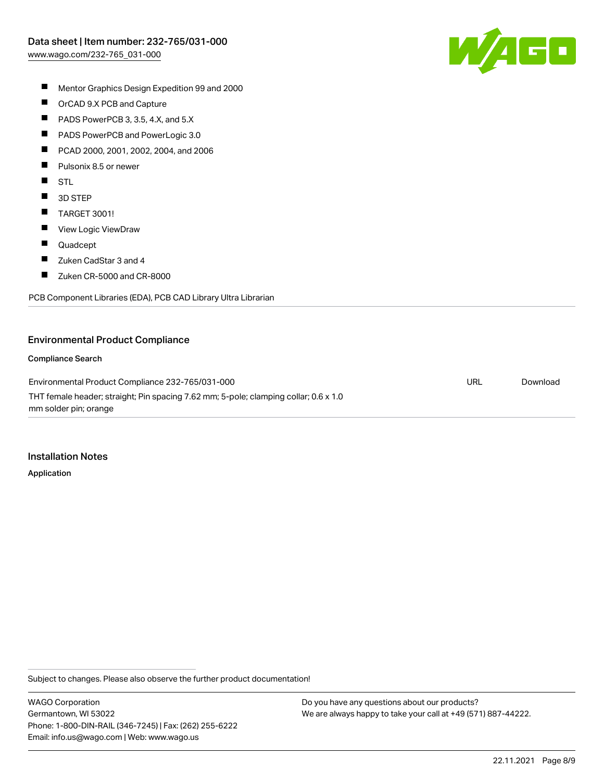

- $\blacksquare$ Mentor Graphics Design Expedition 99 and 2000
- $\blacksquare$ OrCAD 9.X PCB and Capture
- $\blacksquare$ PADS PowerPCB 3, 3.5, 4.X, and 5.X
- $\blacksquare$ PADS PowerPCB and PowerLogic 3.0
- $\blacksquare$ PCAD 2000, 2001, 2002, 2004, and 2006
- $\blacksquare$ Pulsonix 8.5 or newer
- $\blacksquare$ STL
- $\blacksquare$ 3D STEP
- $\blacksquare$ TARGET 3001!
- $\blacksquare$ View Logic ViewDraw
- $\blacksquare$ Quadcept
- $\blacksquare$ Zuken CadStar 3 and 4
- $\blacksquare$ Zuken CR-5000 and CR-8000

PCB Component Libraries (EDA), PCB CAD Library Ultra Librarian

#### Environmental Product Compliance

#### Compliance Search

Environmental Product Compliance 232-765/031-000 THT female header; straight; Pin spacing 7.62 mm; 5-pole; clamping collar; 0.6 x 1.0 mm solder pin; orange URL [Download](https://www.wago.com/global/d/ComplianceLinkMediaContainer_232-765_031-000)

#### Installation Notes

Application

Subject to changes. Please also observe the further product documentation!

WAGO Corporation Germantown, WI 53022 Phone: 1-800-DIN-RAIL (346-7245) | Fax: (262) 255-6222 Email: info.us@wago.com | Web: www.wago.us